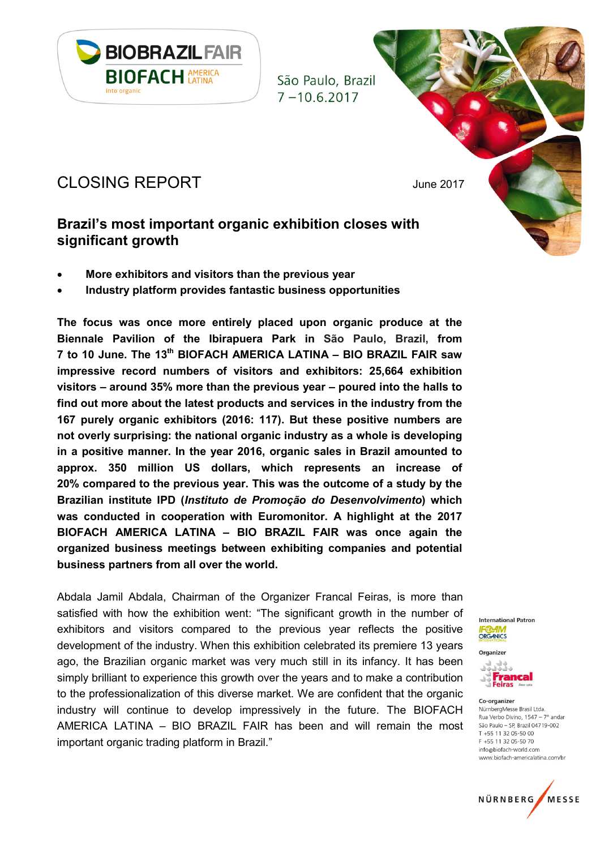

# CLOSING REPORT June 2017

# Brazil's most important organic exhibition closes with significant growth

- More exhibitors and visitors than the previous year
- Industry platform provides fantastic business opportunities

The focus was once more entirely placed upon organic produce at the Biennale Pavilion of the Ibirapuera Park in São Paulo, Brazil, from 7 to 10 June. The 13<sup>th</sup> BIOFACH AMERICA LATINA - BIO BRAZIL FAIR saw impressive record numbers of visitors and exhibitors: 25,664 exhibition visitors – around 35% more than the previous year – poured into the halls to find out more about the latest products and services in the industry from the 167 purely organic exhibitors (2016: 117). But these positive numbers are not overly surprising: the national organic industry as a whole is developing in a positive manner. In the year 2016, organic sales in Brazil amounted to approx. 350 million US dollars, which represents an increase of 20% compared to the previous year. This was the outcome of a study by the Brazilian institute IPD (Instituto de Promoção do Desenvolvimento) which was conducted in cooperation with Euromonitor. A highlight at the 2017 BIOFACH AMERICA LATINA – BIO BRAZIL FAIR was once again the organized business meetings between exhibiting companies and potential business partners from all over the world.

Abdala Jamil Abdala, Chairman of the Organizer Francal Feiras, is more than satisfied with how the exhibition went: "The significant growth in the number of exhibitors and visitors compared to the previous year reflects the positive development of the industry. When this exhibition celebrated its premiere 13 years ago, the Brazilian organic market was very much still in its infancy. It has been simply brilliant to experience this growth over the years and to make a contribution to the professionalization of this diverse market. We are confident that the organic industry will continue to develop impressively in the future. The BIOFACH AMERICA LATINA – BIO BRAZIL FAIR has been and will remain the most important organic trading platform in Brazil."

**International Patron** ORGANICS



Organizer

Co-organizer NürnbergMesse Brasil Ltda. Rua Verbo Divino,  $1547 - 7^\circ$  andar São Paulo - SP, Brazil 04719-002 T +55 11 32 05-50 00 F +55 11 32 05-50 70 info@biofach-world.com www.biofach-americalatina.com/br

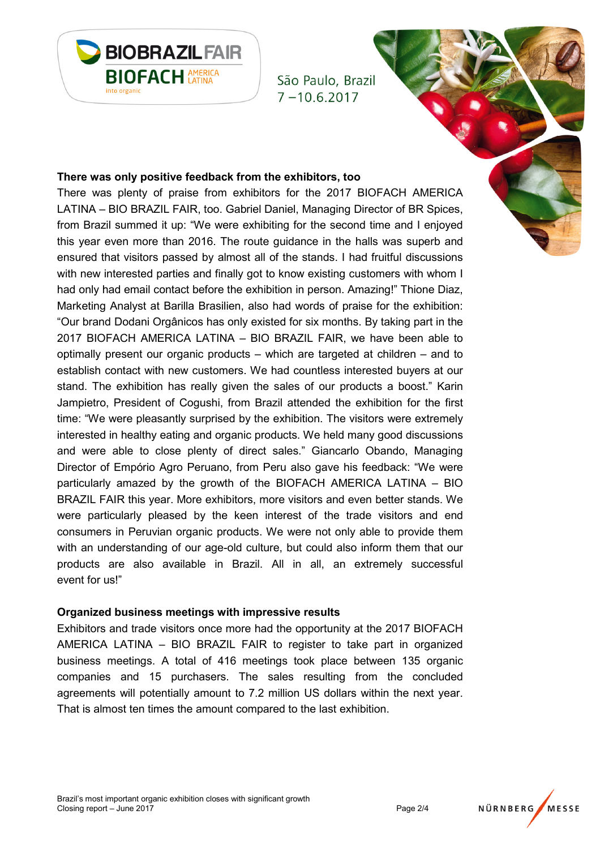

#### There was only positive feedback from the exhibitors, too

There was plenty of praise from exhibitors for the 2017 BIOFACH AMERICA LATINA – BIO BRAZIL FAIR, too. Gabriel Daniel, Managing Director of BR Spices, from Brazil summed it up: "We were exhibiting for the second time and I enjoyed this year even more than 2016. The route guidance in the halls was superb and ensured that visitors passed by almost all of the stands. I had fruitful discussions with new interested parties and finally got to know existing customers with whom I had only had email contact before the exhibition in person. Amazing!" Thione Diaz, Marketing Analyst at Barilla Brasilien, also had words of praise for the exhibition: "Our brand Dodani Orgânicos has only existed for six months. By taking part in the 2017 BIOFACH AMERICA LATINA – BIO BRAZIL FAIR, we have been able to optimally present our organic products – which are targeted at children – and to establish contact with new customers. We had countless interested buyers at our stand. The exhibition has really given the sales of our products a boost." Karin Jampietro, President of Cogushi, from Brazil attended the exhibition for the first time: "We were pleasantly surprised by the exhibition. The visitors were extremely interested in healthy eating and organic products. We held many good discussions and were able to close plenty of direct sales." Giancarlo Obando, Managing Director of Empório Agro Peruano, from Peru also gave his feedback: "We were particularly amazed by the growth of the BIOFACH AMERICA LATINA – BIO BRAZIL FAIR this year. More exhibitors, more visitors and even better stands. We were particularly pleased by the keen interest of the trade visitors and end consumers in Peruvian organic products. We were not only able to provide them with an understanding of our age-old culture, but could also inform them that our products are also available in Brazil. All in all, an extremely successful event for us!"

#### Organized business meetings with impressive results

Exhibitors and trade visitors once more had the opportunity at the 2017 BIOFACH AMERICA LATINA – BIO BRAZIL FAIR to register to take part in organized business meetings. A total of 416 meetings took place between 135 organic companies and 15 purchasers. The sales resulting from the concluded agreements will potentially amount to 7.2 million US dollars within the next year. That is almost ten times the amount compared to the last exhibition.

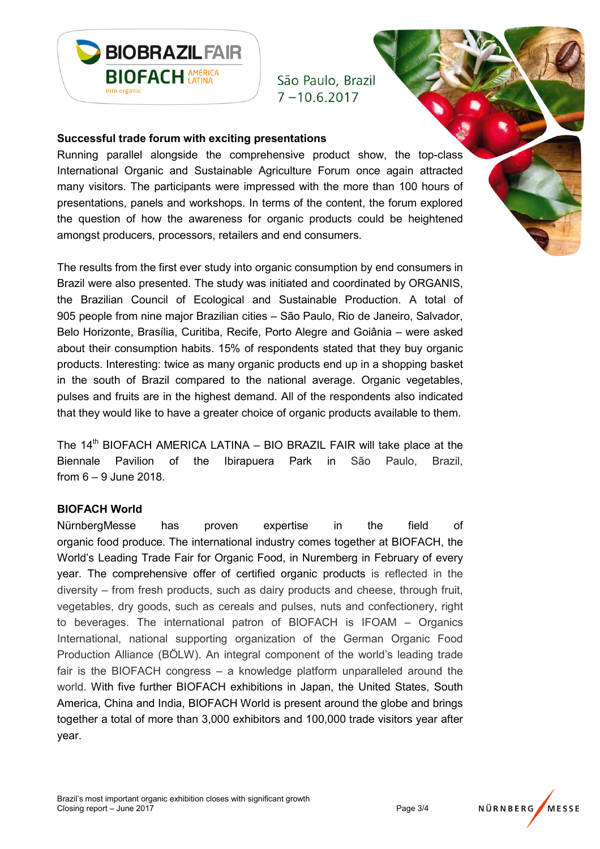

#### Successful trade forum with exciting presentations

Running parallel alongside the comprehensive product show, the top-class International Organic and Sustainable Agriculture Forum once again attracted many visitors. The participants were impressed with the more than 100 hours of presentations, panels and workshops. In terms of the content, the forum explored the question of how the awareness for organic products could be heightened amongst producers, processors, retailers and end consumers.

The results from the first ever study into organic consumption by end consumers in Brazil were also presented. The study was initiated and coordinated by ORGANIS, the Brazilian Council of Ecological and Sustainable Production. A total of 905 people from nine major Brazilian cities – São Paulo, Rio de Janeiro, Salvador, Belo Horizonte, Brasília, Curitiba, Recife, Porto Alegre and Goiânia – were asked about their consumption habits. 15% of respondents stated that they buy organic products. Interesting: twice as many organic products end up in a shopping basket in the south of Brazil compared to the national average. Organic vegetables, pulses and fruits are in the highest demand. All of the respondents also indicated that they would like to have a greater choice of organic products available to them.

The  $14<sup>th</sup>$  BIOFACH AMERICA LATINA – BIO BRAZIL FAIR will take place at the Biennale Pavilion of the Ibirapuera Park in São Paulo, Brazil, from 6 – 9 June 2018.

#### BIOFACH World

NürnbergMesse has proven expertise in the field of organic food produce. The international industry comes together at BIOFACH, the World's Leading Trade Fair for Organic Food, in Nuremberg in February of every year. The comprehensive offer of certified organic products is reflected in the diversity – from fresh products, such as dairy products and cheese, through fruit, vegetables, dry goods, such as cereals and pulses, nuts and confectionery, right to beverages. The international patron of BIOFACH is IFOAM – Organics International, national supporting organization of the German Organic Food Production Alliance (BÖLW). An integral component of the world's leading trade fair is the BIOFACH congress – a knowledge platform unparalleled around the world. With five further BIOFACH exhibitions in Japan, the United States, South America, China and India, BIOFACH World is present around the globe and brings together a total of more than 3,000 exhibitors and 100,000 trade visitors year after year.